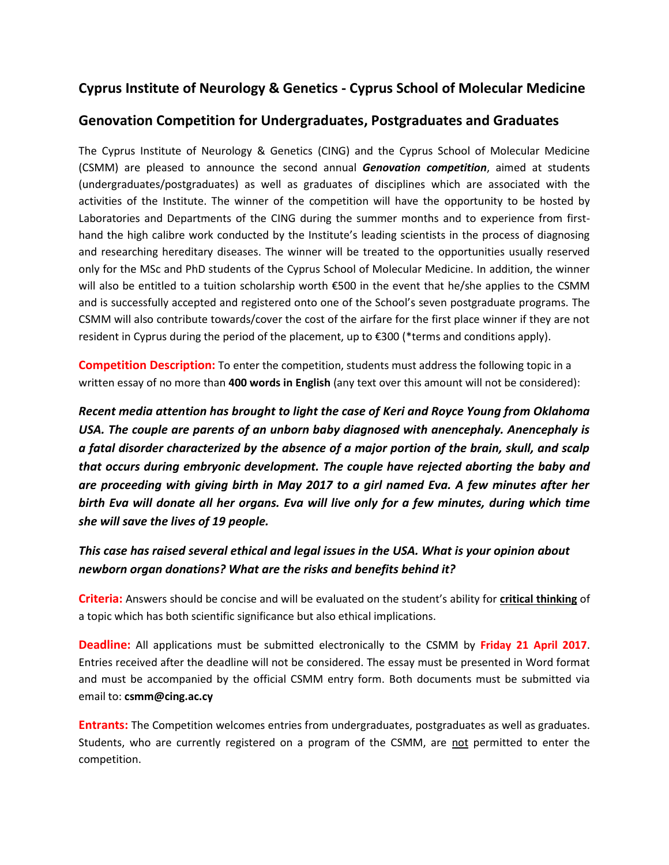# **Cyprus Institute of Neurology & Genetics - Cyprus School of Molecular Medicine**

### **Genovation Competition for Undergraduates, Postgraduates and Graduates**

The Cyprus Institute of Neurology & Genetics (CING) and the Cyprus School of Molecular Medicine (CSMM) are pleased to announce the second annual *Genovation competition*, aimed at students (undergraduates/postgraduates) as well as graduates of disciplines which are associated with the activities of the Institute. The winner of the competition will have the opportunity to be hosted by Laboratories and Departments of the CING during the summer months and to experience from firsthand the high calibre work conducted by the Institute's leading scientists in the process of diagnosing and researching hereditary diseases. The winner will be treated to the opportunities usually reserved only for the MSc and PhD students of the Cyprus School of Molecular Medicine. In addition, the winner will also be entitled to a tuition scholarship worth €500 in the event that he/she applies to the CSMM and is successfully accepted and registered onto one of the School's seven postgraduate programs. The CSMM will also contribute towards/cover the cost of the airfare for the first place winner if they are not resident in Cyprus during the period of the placement, up to €300 (\*terms and conditions apply).

**Competition Description:** To enter the competition, students must address the following topic in a written essay of no more than **400 words in English** (any text over this amount will not be considered):

*Recent media attention has brought to light the case of Keri and Royce Young from Oklahoma USA. The couple are parents of an unborn baby diagnosed with anencephaly. Anencephaly is a fatal disorder characterized by the absence of a major portion of the brain, skull, and scalp that occurs during embryonic development. The couple have rejected aborting the baby and are proceeding with giving birth in May 2017 to a girl named Eva. A few minutes after her birth Eva will donate all her organs. Eva will live only for a few minutes, during which time she will save the lives of 19 people.* 

## *This case has raised several ethical and legal issues in the USA. What is your opinion about newborn organ donations? What are the risks and benefits behind it?*

**Criteria:** Answers should be concise and will be evaluated on the student's ability for **critical thinking** of a topic which has both scientific significance but also ethical implications.

**Deadline:** All applications must be submitted electronically to the CSMM by **Friday 21 April 2017**. Entries received after the deadline will not be considered. The essay must be presented in Word format and must be accompanied by the official CSMM entry form. Both documents must be submitted via email to: **[csmm@cing.ac.cy](mailto:csmm@cing.ac.cy)**

**Entrants:** The Competition welcomes entries from undergraduates, postgraduates as well as graduates. Students, who are currently registered on a program of the CSMM, are not permitted to enter the competition.